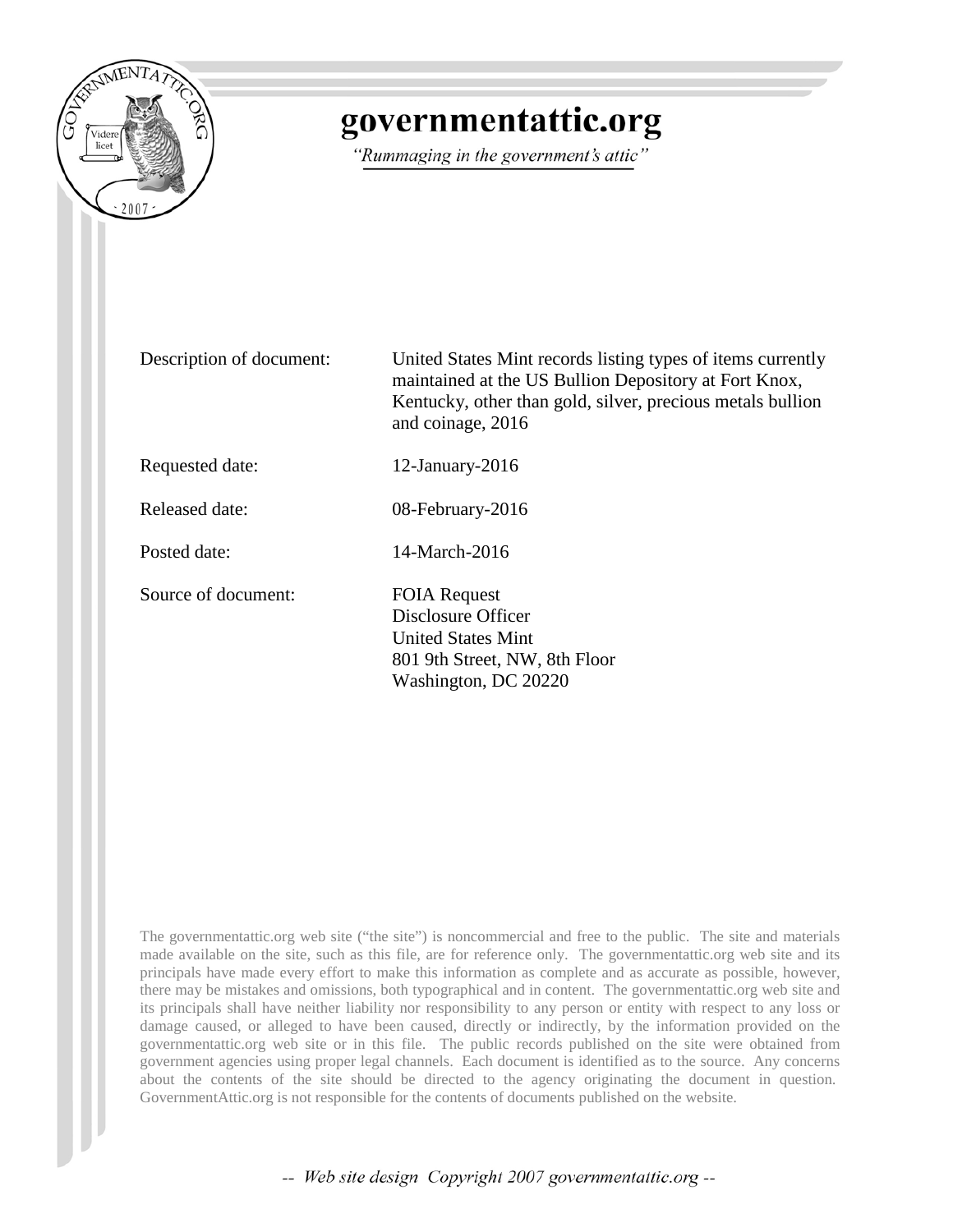

## governmentattic.org

"Rummaging in the government's attic"

Description of document: United States Mint records listing types of items currently maintained at the US Bullion Depository at Fort Knox, Kentucky, other than gold, silver, precious metals bullion and coinage, 2016 Requested date: 12-January-2016 Released date: 08-February-2016 Posted date: 14-March-2016 Source of document: FOIA Request Disclosure Officer United States Mint 801 9th Street, NW, 8th Floor Washington, DC 20220

The governmentattic.org web site ("the site") is noncommercial and free to the public. The site and materials made available on the site, such as this file, are for reference only. The governmentattic.org web site and its principals have made every effort to make this information as complete and as accurate as possible, however, there may be mistakes and omissions, both typographical and in content. The governmentattic.org web site and its principals shall have neither liability nor responsibility to any person or entity with respect to any loss or damage caused, or alleged to have been caused, directly or indirectly, by the information provided on the governmentattic.org web site or in this file. The public records published on the site were obtained from government agencies using proper legal channels. Each document is identified as to the source. Any concerns about the contents of the site should be directed to the agency originating the document in question. GovernmentAttic.org is not responsible for the contents of documents published on the website.

-- Web site design Copyright 2007 governmentattic.org --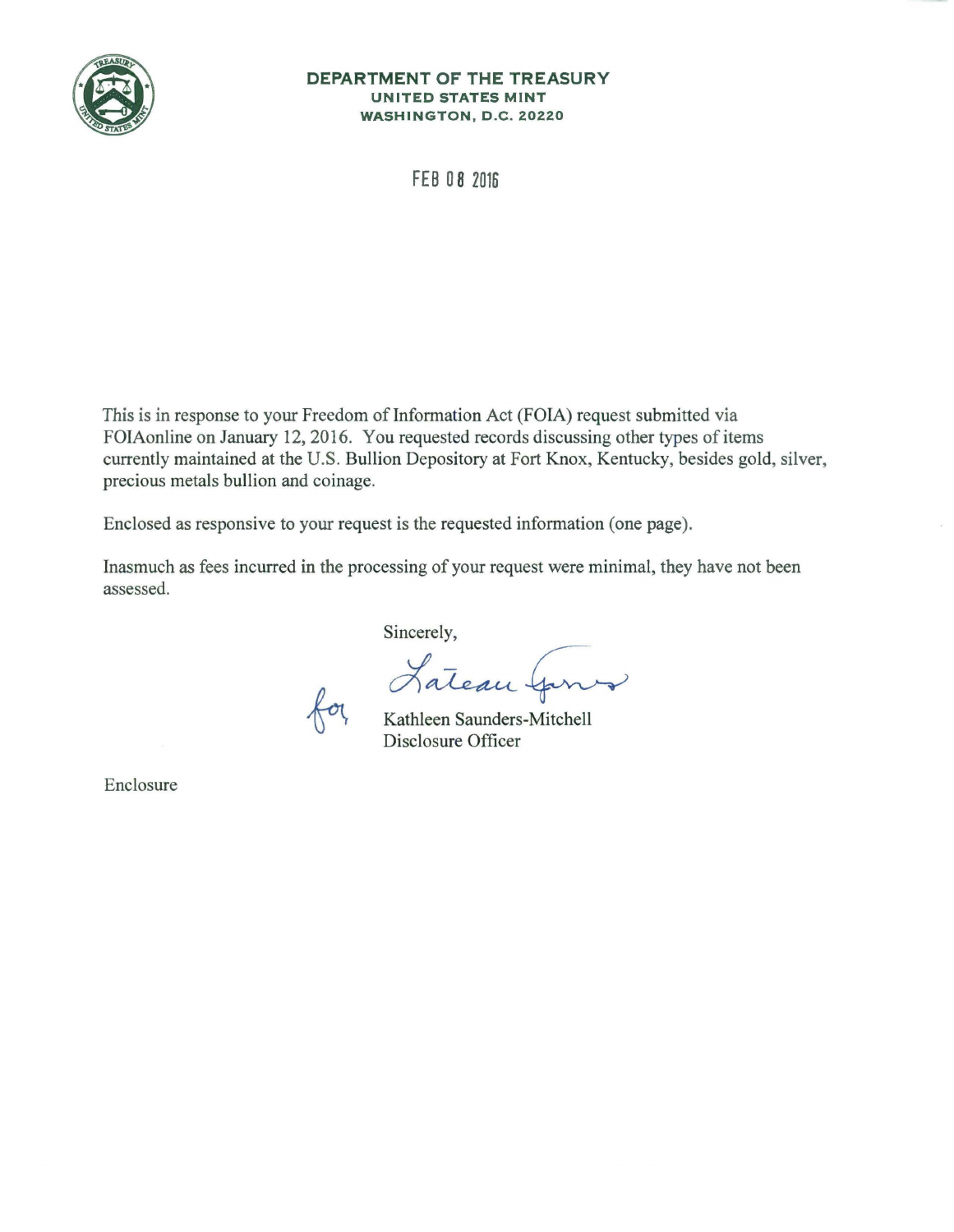

## **DEPARTMENT OF THE TREASURY UNITED STATES MINT WASHINGTON, D.C. 20220**

**FEB 0 8 2016** 

This is in response to your Freedom of Information Act (FOIA) request submitted via FOIAonline on January 12, 2016. You requested records discussing other types of items currently maintained at the U.S. Bullion Depository at Fort Knox, Kentucky, besides gold, silver, precious metals bullion and coinage.

Enclosed as responsive to your request is the requested information (one page).

Inasmuch as fees incurred in the processing of your request were minimal, they have not been assessed.

Sincerely,

Lateau Gros

Disclosure Officer

Enclosure